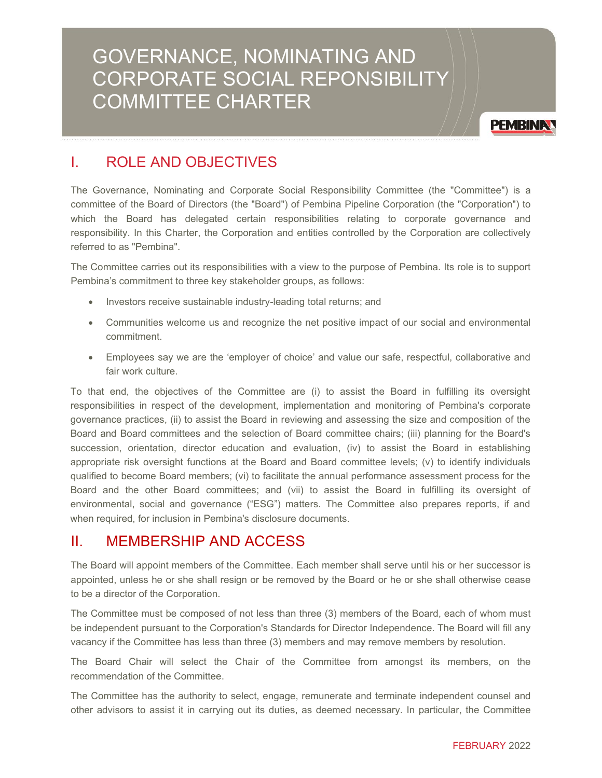# GOVERNANCE, NOMINATING AND CORPORATE SOCIAL REPONSIBILITY COMMITTEE CHARTER



# I. ROLE AND OBJECTIVES

The Governance, Nominating and Corporate Social Responsibility Committee (the "Committee") is a committee of the Board of Directors (the "Board") of Pembina Pipeline Corporation (the "Corporation") to which the Board has delegated certain responsibilities relating to corporate governance and responsibility. In this Charter, the Corporation and entities controlled by the Corporation are collectively referred to as "Pembina".

The Committee carries out its responsibilities with a view to the purpose of Pembina. Its role is to support Pembina's commitment to three key stakeholder groups, as follows:

- Investors receive sustainable industry-leading total returns; and
- Communities welcome us and recognize the net positive impact of our social and environmental commitment.
- Employees say we are the 'employer of choice' and value our safe, respectful, collaborative and fair work culture.

To that end, the objectives of the Committee are (i) to assist the Board in fulfilling its oversight responsibilities in respect of the development, implementation and monitoring of Pembina's corporate governance practices, (ii) to assist the Board in reviewing and assessing the size and composition of the Board and Board committees and the selection of Board committee chairs; (iii) planning for the Board's succession, orientation, director education and evaluation, (iv) to assist the Board in establishing appropriate risk oversight functions at the Board and Board committee levels; (v) to identify individuals qualified to become Board members; (vi) to facilitate the annual performance assessment process for the Board and the other Board committees; and (vii) to assist the Board in fulfilling its oversight of environmental, social and governance ("ESG") matters. The Committee also prepares reports, if and when required, for inclusion in Pembina's disclosure documents.

# II. MEMBERSHIP AND ACCESS

The Board will appoint members of the Committee. Each member shall serve until his or her successor is appointed, unless he or she shall resign or be removed by the Board or he or she shall otherwise cease to be a director of the Corporation.

The Committee must be composed of not less than three (3) members of the Board, each of whom must be independent pursuant to the Corporation's Standards for Director Independence. The Board will fill any vacancy if the Committee has less than three (3) members and may remove members by resolution.

The Board Chair will select the Chair of the Committee from amongst its members, on the recommendation of the Committee.

The Committee has the authority to select, engage, remunerate and terminate independent counsel and other advisors to assist it in carrying out its duties, as deemed necessary. In particular, the Committee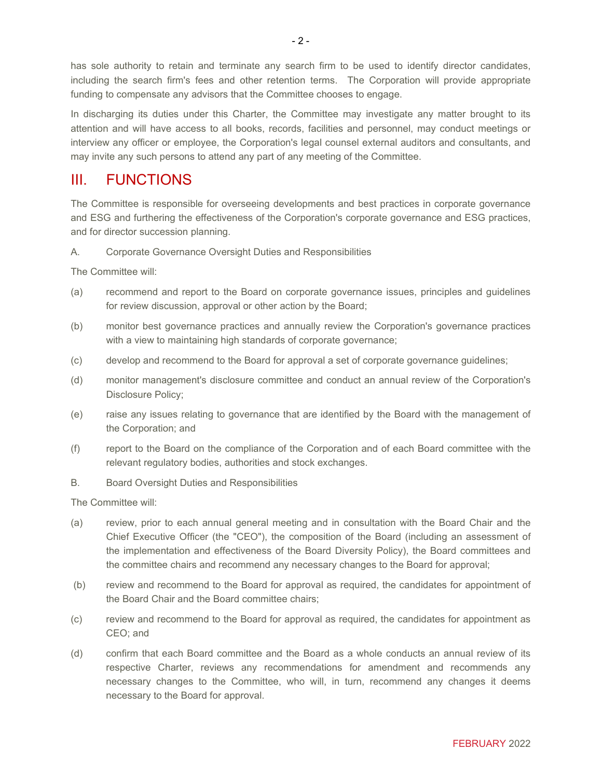has sole authority to retain and terminate any search firm to be used to identify director candidates, including the search firm's fees and other retention terms. The Corporation will provide appropriate funding to compensate any advisors that the Committee chooses to engage.

In discharging its duties under this Charter, the Committee may investigate any matter brought to its attention and will have access to all books, records, facilities and personnel, may conduct meetings or interview any officer or employee, the Corporation's legal counsel external auditors and consultants, and may invite any such persons to attend any part of any meeting of the Committee.

## III. FUNCTIONS

The Committee is responsible for overseeing developments and best practices in corporate governance and ESG and furthering the effectiveness of the Corporation's corporate governance and ESG practices, and for director succession planning.

### A. Corporate Governance Oversight Duties and Responsibilities

The Committee will:

- (a) recommend and report to the Board on corporate governance issues, principles and guidelines for review discussion, approval or other action by the Board;
- (b) monitor best governance practices and annually review the Corporation's governance practices with a view to maintaining high standards of corporate governance;
- (c) develop and recommend to the Board for approval a set of corporate governance guidelines;
- (d) monitor management's disclosure committee and conduct an annual review of the Corporation's Disclosure Policy;
- (e) raise any issues relating to governance that are identified by the Board with the management of the Corporation; and
- (f) report to the Board on the compliance of the Corporation and of each Board committee with the relevant regulatory bodies, authorities and stock exchanges.
- B. Board Oversight Duties and Responsibilities

The Committee will:

- (a) review, prior to each annual general meeting and in consultation with the Board Chair and the Chief Executive Officer (the "CEO"), the composition of the Board (including an assessment of the implementation and effectiveness of the Board Diversity Policy), the Board committees and the committee chairs and recommend any necessary changes to the Board for approval;
- (b) review and recommend to the Board for approval as required, the candidates for appointment of the Board Chair and the Board committee chairs;
- (c) review and recommend to the Board for approval as required, the candidates for appointment as CEO; and
- (d) confirm that each Board committee and the Board as a whole conducts an annual review of its respective Charter, reviews any recommendations for amendment and recommends any necessary changes to the Committee, who will, in turn, recommend any changes it deems necessary to the Board for approval.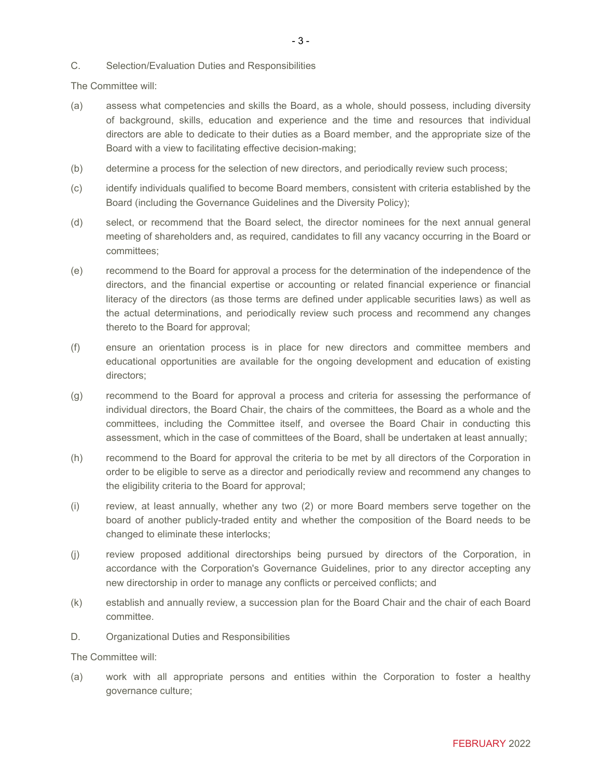#### C. Selection/Evaluation Duties and Responsibilities

The Committee will:

- (a) assess what competencies and skills the Board, as a whole, should possess, including diversity of background, skills, education and experience and the time and resources that individual directors are able to dedicate to their duties as a Board member, and the appropriate size of the Board with a view to facilitating effective decision-making;
- (b) determine a process for the selection of new directors, and periodically review such process;
- (c) identify individuals qualified to become Board members, consistent with criteria established by the Board (including the Governance Guidelines and the Diversity Policy);
- (d) select, or recommend that the Board select, the director nominees for the next annual general meeting of shareholders and, as required, candidates to fill any vacancy occurring in the Board or committees;
- (e) recommend to the Board for approval a process for the determination of the independence of the directors, and the financial expertise or accounting or related financial experience or financial literacy of the directors (as those terms are defined under applicable securities laws) as well as the actual determinations, and periodically review such process and recommend any changes thereto to the Board for approval;
- (f) ensure an orientation process is in place for new directors and committee members and educational opportunities are available for the ongoing development and education of existing directors;
- (g) recommend to the Board for approval a process and criteria for assessing the performance of individual directors, the Board Chair, the chairs of the committees, the Board as a whole and the committees, including the Committee itself, and oversee the Board Chair in conducting this assessment, which in the case of committees of the Board, shall be undertaken at least annually;
- (h) recommend to the Board for approval the criteria to be met by all directors of the Corporation in order to be eligible to serve as a director and periodically review and recommend any changes to the eligibility criteria to the Board for approval;
- (i) review, at least annually, whether any two (2) or more Board members serve together on the board of another publicly-traded entity and whether the composition of the Board needs to be changed to eliminate these interlocks;
- (j) review proposed additional directorships being pursued by directors of the Corporation, in accordance with the Corporation's Governance Guidelines, prior to any director accepting any new directorship in order to manage any conflicts or perceived conflicts; and
- (k) establish and annually review, a succession plan for the Board Chair and the chair of each Board committee.
- D. Organizational Duties and Responsibilities

The Committee will:

(a) work with all appropriate persons and entities within the Corporation to foster a healthy governance culture;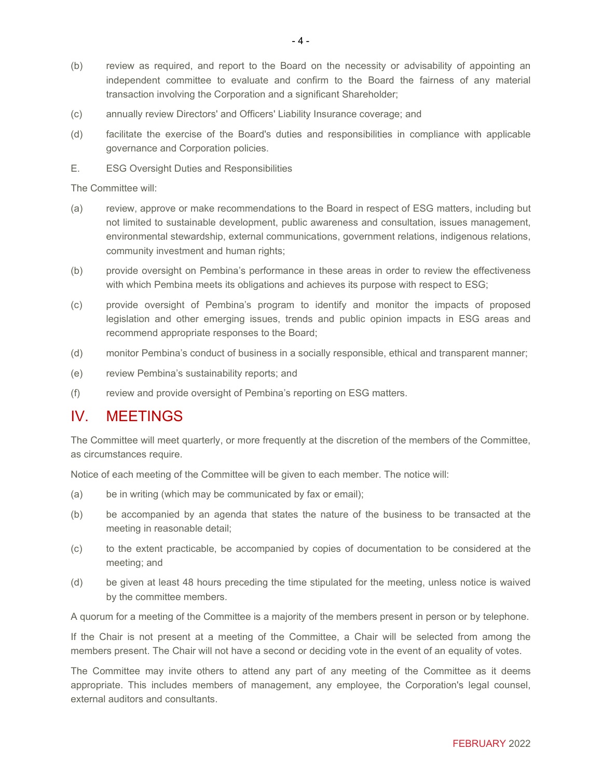- (b) review as required, and report to the Board on the necessity or advisability of appointing an independent committee to evaluate and confirm to the Board the fairness of any material transaction involving the Corporation and a significant Shareholder;
- (c) annually review Directors' and Officers' Liability Insurance coverage; and
- (d) facilitate the exercise of the Board's duties and responsibilities in compliance with applicable governance and Corporation policies.
- E. ESG Oversight Duties and Responsibilities

The Committee will:

- (a) review, approve or make recommendations to the Board in respect of ESG matters, including but not limited to sustainable development, public awareness and consultation, issues management, environmental stewardship, external communications, government relations, indigenous relations, community investment and human rights;
- (b) provide oversight on Pembina's performance in these areas in order to review the effectiveness with which Pembina meets its obligations and achieves its purpose with respect to ESG;
- (c) provide oversight of Pembina's program to identify and monitor the impacts of proposed legislation and other emerging issues, trends and public opinion impacts in ESG areas and recommend appropriate responses to the Board;
- (d) monitor Pembina's conduct of business in a socially responsible, ethical and transparent manner;
- (e) review Pembina's sustainability reports; and
- (f) review and provide oversight of Pembina's reporting on ESG matters.

### IV. MEETINGS

The Committee will meet quarterly, or more frequently at the discretion of the members of the Committee, as circumstances require.

Notice of each meeting of the Committee will be given to each member. The notice will:

- (a) be in writing (which may be communicated by fax or email);
- (b) be accompanied by an agenda that states the nature of the business to be transacted at the meeting in reasonable detail;
- (c) to the extent practicable, be accompanied by copies of documentation to be considered at the meeting; and
- (d) be given at least 48 hours preceding the time stipulated for the meeting, unless notice is waived by the committee members.

A quorum for a meeting of the Committee is a majority of the members present in person or by telephone.

If the Chair is not present at a meeting of the Committee, a Chair will be selected from among the members present. The Chair will not have a second or deciding vote in the event of an equality of votes.

The Committee may invite others to attend any part of any meeting of the Committee as it deems appropriate. This includes members of management, any employee, the Corporation's legal counsel, external auditors and consultants.